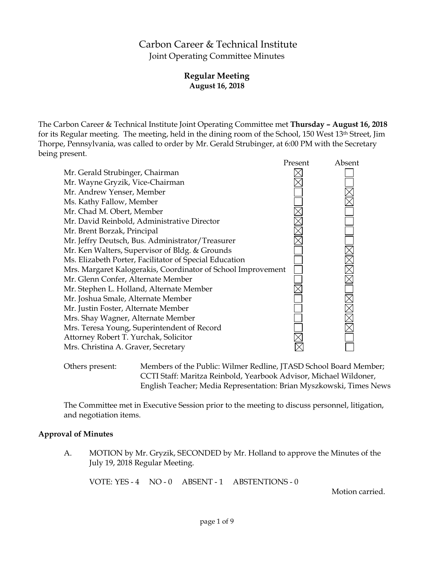# Carbon Career & Technical Institute Joint Operating Committee Minutes

# **Regular Meeting August 16, 2018**

The Carbon Career & Technical Institute Joint Operating Committee met **Thursday – August 16, 2018** for its Regular meeting. The meeting, held in the dining room of the School, 150 West 13th Street, Jim Thorpe, Pennsylvania, was called to order by Mr. Gerald Strubinger, at 6:00 PM with the Secretary being present.



Others present: Members of the Public: Wilmer Redline, JTASD School Board Member; CCTI Staff: Maritza Reinbold, Yearbook Advisor, Michael Wildoner, English Teacher; Media Representation: Brian Myszkowski, Times News

The Committee met in Executive Session prior to the meeting to discuss personnel, litigation, and negotiation items.

### **Approval of Minutes**

A. MOTION by Mr. Gryzik, SECONDED by Mr. Holland to approve the Minutes of the July 19, 2018 Regular Meeting.

VOTE: YES - 4 NO - 0 ABSENT - 1 ABSTENTIONS - 0

Motion carried.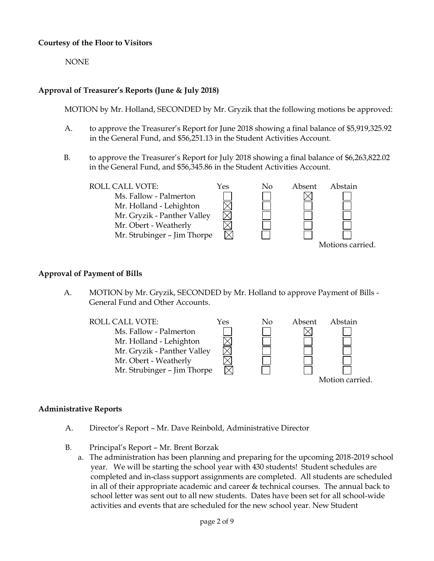### **Courtesy of the Floor to Visitors**

NONE

# **Approval of Treasurer's Reports (June & July 2018)**

MOTION by Mr. Holland, SECONDED by Mr. Gryzik that the following motions be approved:

- A. to approve the Treasurer's Report for June 2018 showing a final balance of \$5,919,325.92 in the General Fund, and \$56,251.13 in the Student Activities Account.
- B. to approve the Treasurer's Report for July 2018 showing a final balance of \$6,263,822.02 in the General Fund, and \$56,345.86 in the Student Activities Account.



#### **Approval of Payment of Bills**

A. MOTION by Mr. Gryzik, SECONDED by Mr. Holland to approve Payment of Bills - General Fund and Other Accounts.



### **Administrative Reports**

- A. Director's Report Mr. Dave Reinbold, Administrative Director
- B. Principal's Report Mr. Brent Borzak
	- a. The administration has been planning and preparing for the upcoming 2018-2019 school year. We will be starting the school year with 430 students! Student schedules are completed and in-class support assignments are completed. All students are scheduled in all of their appropriate academic and career & technical courses. The annual back to school letter was sent out to all new students. Dates have been set for all school-wide activities and events that are scheduled for the new school year. New Student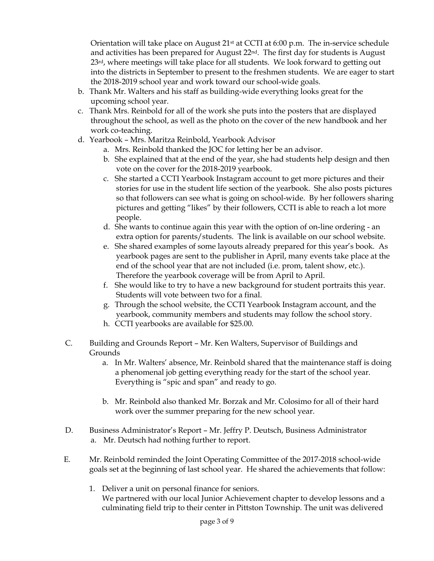Orientation will take place on August 21st at CCTI at 6:00 p.m. The in-service schedule and activities has been prepared for August  $22<sup>nd</sup>$ . The first day for students is August 23rd, where meetings will take place for all students. We look forward to getting out into the districts in September to present to the freshmen students. We are eager to start the 2018-2019 school year and work toward our school-wide goals.

- b. Thank Mr. Walters and his staff as building-wide everything looks great for the upcoming school year.
- c. Thank Mrs. Reinbold for all of the work she puts into the posters that are displayed throughout the school, as well as the photo on the cover of the new handbook and her work co-teaching.
- d. Yearbook Mrs. Maritza Reinbold, Yearbook Advisor
	- a. Mrs. Reinbold thanked the JOC for letting her be an advisor.
	- b. She explained that at the end of the year, she had students help design and then vote on the cover for the 2018-2019 yearbook.
	- c. She started a CCTI Yearbook Instagram account to get more pictures and their stories for use in the student life section of the yearbook. She also posts pictures so that followers can see what is going on school-wide. By her followers sharing pictures and getting "likes" by their followers, CCTI is able to reach a lot more people.
	- d. She wants to continue again this year with the option of on-line ordering an extra option for parents/students. The link is available on our school website.
	- e. She shared examples of some layouts already prepared for this year's book. As yearbook pages are sent to the publisher in April, many events take place at the end of the school year that are not included (i.e. prom, talent show, etc.). Therefore the yearbook coverage will be from April to April.
	- f. She would like to try to have a new background for student portraits this year. Students will vote between two for a final.
	- g. Through the school website, the CCTI Yearbook Instagram account, and the yearbook, community members and students may follow the school story.
	- h. CCTI yearbooks are available for \$25.00.
- C. Building and Grounds Report Mr. Ken Walters, Supervisor of Buildings and Grounds
	- a. In Mr. Walters' absence, Mr. Reinbold shared that the maintenance staff is doing a phenomenal job getting everything ready for the start of the school year. Everything is "spic and span" and ready to go.
	- b. Mr. Reinbold also thanked Mr. Borzak and Mr. Colosimo for all of their hard work over the summer preparing for the new school year.
- D. Business Administrator's Report Mr. Jeffry P. Deutsch, Business Administrator a. Mr. Deutsch had nothing further to report.
- E. Mr. Reinbold reminded the Joint Operating Committee of the 2017-2018 school-wide goals set at the beginning of last school year. He shared the achievements that follow:
	- 1. Deliver a unit on personal finance for seniors. We partnered with our local Junior Achievement chapter to develop lessons and a culminating field trip to their center in Pittston Township. The unit was delivered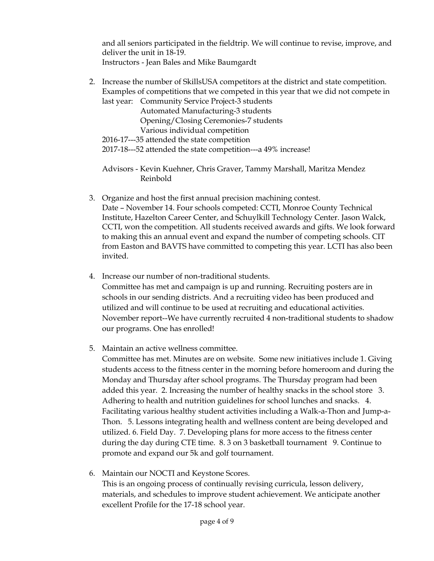and all seniors participated in the fieldtrip. We will continue to revise, improve, and deliver the unit in 18-19. Instructors - Jean Bales and Mike Baumgardt

2. Increase the number of SkillsUSA competitors at the district and state competition. Examples of competitions that we competed in this year that we did not compete in last year: Community Service Project-3 students Automated Manufacturing-3 students Opening/Closing Ceremonies-7 students

Various individual competition

2016-17---35 attended the state competition

2017-18---52 attended the state competition---a 49% increase!

Advisors - Kevin Kuehner, Chris Graver, Tammy Marshall, Maritza Mendez Reinbold

- 3. Organize and host the first annual precision machining contest. Date – November 14. Four schools competed: CCTI, Monroe County Technical Institute, Hazelton Career Center, and Schuylkill Technology Center. Jason Walck, CCTI, won the competition. All students received awards and gifts. We look forward to making this an annual event and expand the number of competing schools. CIT from Easton and BAVTS have committed to competing this year. LCTI has also been invited.
- 4. Increase our number of non-traditional students. Committee has met and campaign is up and running. Recruiting posters are in schools in our sending districts. And a recruiting video has been produced and utilized and will continue to be used at recruiting and educational activities. November report--We have currently recruited 4 non-traditional students to shadow our programs. One has enrolled!
- 5. Maintain an active wellness committee.

Committee has met. Minutes are on website. Some new initiatives include 1. Giving students access to the fitness center in the morning before homeroom and during the Monday and Thursday after school programs. The Thursday program had been added this year. 2. Increasing the number of healthy snacks in the school store 3. Adhering to health and nutrition guidelines for school lunches and snacks. 4. Facilitating various healthy student activities including a Walk-a-Thon and Jump-a-Thon. 5. Lessons integrating health and wellness content are being developed and utilized. 6. Field Day. 7. Developing plans for more access to the fitness center during the day during CTE time. 8. 3 on 3 basketball tournament 9. Continue to promote and expand our 5k and golf tournament.

6. Maintain our NOCTI and Keystone Scores. This is an ongoing process of continually revising curricula, lesson delivery, materials, and schedules to improve student achievement. We anticipate another excellent Profile for the 17-18 school year.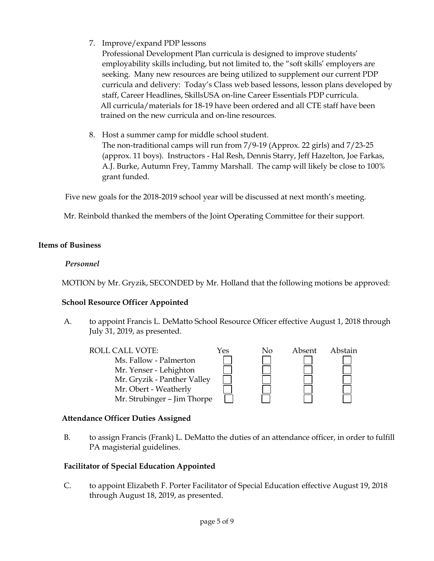7. Improve/expand PDP lessons

Professional Development Plan curricula is designed to improve students' employability skills including, but not limited to, the "soft skills' employers are seeking. Many new resources are being utilized to supplement our current PDP curricula and delivery: Today's Class web based lessons, lesson plans developed by staff, Career Headlines, SkillsUSA on-line Career Essentials PDP curricula. All curricula/materials for 18-19 have been ordered and all CTE staff have been trained on the new curricula and on-line resources.

8. Host a summer camp for middle school student. The non-traditional camps will run from 7/9-19 (Approx. 22 girls) and 7/23-25 (approx. 11 boys). Instructors - Hal Resh, Dennis Starry, Jeff Hazelton, Joe Farkas, A.J. Burke, Autumn Frey, Tammy Marshall. The camp will likely be close to 100% grant funded.

Five new goals for the 2018-2019 school year will be discussed at next month's meeting.

Mr. Reinbold thanked the members of the Joint Operating Committee for their support.

# **Items of Business**

# *Personnel*

MOTION by Mr. Gryzik, SECONDED by Mr. Holland that the following motions be approved:

# **School Resource Officer Appointed**

A. to appoint Francis L. DeMatto School Resource Officer effective August 1, 2018 through July 31, 2019, as presented.



# **Attendance Officer Duties Assigned**

B. to assign Francis (Frank) L. DeMatto the duties of an attendance officer, in order to fulfill PA magisterial guidelines.

# **Facilitator of Special Education Appointed**

C. to appoint Elizabeth F. Porter Facilitator of Special Education effective August 19, 2018 through August 18, 2019, as presented.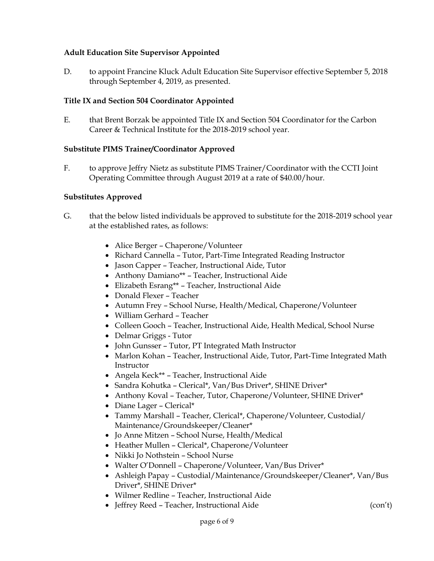## **Adult Education Site Supervisor Appointed**

D. to appoint Francine Kluck Adult Education Site Supervisor effective September 5, 2018 through September 4, 2019, as presented.

### **Title IX and Section 504 Coordinator Appointed**

E. that Brent Borzak be appointed Title IX and Section 504 Coordinator for the Carbon Career & Technical Institute for the 2018-2019 school year.

### **Substitute PIMS Trainer/Coordinator Approved**

F. to approve Jeffry Nietz as substitute PIMS Trainer/Coordinator with the CCTI Joint Operating Committee through August 2019 at a rate of \$40.00/hour.

### **Substitutes Approved**

- G. that the below listed individuals be approved to substitute for the 2018-2019 school year at the established rates, as follows:
	- Alice Berger Chaperone/Volunteer
	- Richard Cannella Tutor, Part-Time Integrated Reading Instructor
	- Jason Capper Teacher, Instructional Aide, Tutor
	- Anthony Damiano\*\* Teacher, Instructional Aide
	- Elizabeth Esrang\*\* Teacher, Instructional Aide
	- Donald Flexer Teacher
	- Autumn Frey School Nurse, Health/Medical, Chaperone/Volunteer
	- William Gerhard Teacher
	- Colleen Gooch Teacher, Instructional Aide, Health Medical, School Nurse
	- Delmar Griggs Tutor
	- John Gunsser Tutor, PT Integrated Math Instructor
	- Marlon Kohan Teacher, Instructional Aide, Tutor, Part-Time Integrated Math Instructor
	- Angela Keck\*\* Teacher, Instructional Aide
	- Sandra Kohutka Clerical\*, Van/Bus Driver\*, SHINE Driver\*
	- Anthony Koval Teacher, Tutor, Chaperone/Volunteer, SHINE Driver\*
	- Diane Lager Clerical\*
	- Tammy Marshall Teacher, Clerical\*, Chaperone/Volunteer, Custodial/ Maintenance/Groundskeeper/Cleaner\*
	- Jo Anne Mitzen School Nurse, Health/Medical
	- Heather Mullen Clerical\*, Chaperone/Volunteer
	- Nikki Jo Nothstein School Nurse
	- Walter O'Donnell Chaperone/Volunteer, Van/Bus Driver\*
	- Ashleigh Papay Custodial/Maintenance/Groundskeeper/Cleaner\*, Van/Bus Driver\*, SHINE Driver\*
	- Wilmer Redline Teacher, Instructional Aide
	- Jeffrey Reed Teacher, Instructional Aide (con't)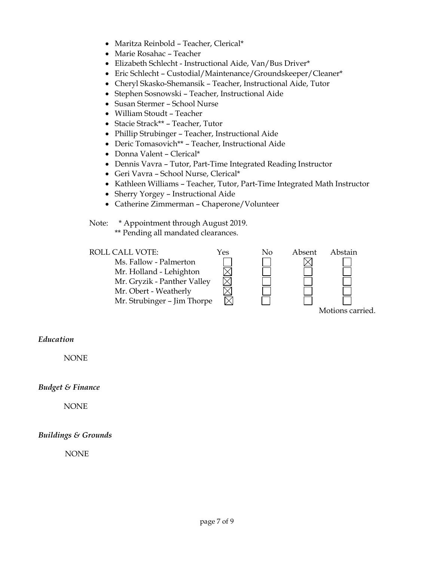- Maritza Reinbold Teacher, Clerical\*
- Marie Rosahac Teacher
- Elizabeth Schlecht Instructional Aide, Van/Bus Driver\*
- Eric Schlecht Custodial/Maintenance/Groundskeeper/Cleaner\*
- Cheryl Skasko-Shemansik Teacher, Instructional Aide, Tutor
- Stephen Sosnowski Teacher, Instructional Aide
- Susan Stermer School Nurse
- William Stoudt Teacher
- Stacie Strack\*\* Teacher, Tutor
- Phillip Strubinger Teacher, Instructional Aide
- Deric Tomasovich\*\* Teacher, Instructional Aide
- Donna Valent Clerical\*
- Dennis Vavra Tutor, Part-Time Integrated Reading Instructor
- Geri Vavra School Nurse, Clerical\*
- Kathleen Williams Teacher, Tutor, Part-Time Integrated Math Instructor
- Sherry Yorgey Instructional Aide
- Catherine Zimmerman Chaperone/Volunteer

Note: \* Appointment through August 2019.

\*\* Pending all mandated clearances.

| ROLL CALL VOTE:             | Yes | No | Absent | Abstain          |
|-----------------------------|-----|----|--------|------------------|
| Ms. Fallow - Palmerton      |     |    |        |                  |
| Mr. Holland - Lehighton     |     |    |        |                  |
| Mr. Gryzik - Panther Valley |     |    |        |                  |
| Mr. Obert - Weatherly       |     |    |        |                  |
| Mr. Strubinger - Jim Thorpe |     |    |        |                  |
|                             |     |    |        | Motions carried. |

### *Education*

NONE

### *Budget & Finance*

NONE

### *Buildings & Grounds*

NONE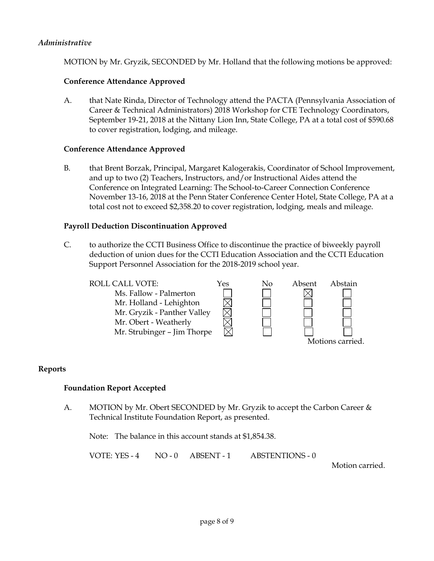### *Administrative*

MOTION by Mr. Gryzik, SECONDED by Mr. Holland that the following motions be approved:

### **Conference Attendance Approved**

A. that Nate Rinda, Director of Technology attend the PACTA (Pennsylvania Association of Career & Technical Administrators) 2018 Workshop for CTE Technology Coordinators, September 19-21, 2018 at the Nittany Lion Inn, State College, PA at a total cost of \$590.68 to cover registration, lodging, and mileage.

#### **Conference Attendance Approved**

B. that Brent Borzak, Principal, Margaret Kalogerakis, Coordinator of School Improvement, and up to two (2) Teachers, Instructors, and/or Instructional Aides attend the Conference on Integrated Learning: The School-to-Career Connection Conference November 13-16, 2018 at the Penn Stater Conference Center Hotel, State College, PA at a total cost not to exceed \$2,358.20 to cover registration, lodging, meals and mileage.

#### **Payroll Deduction Discontinuation Approved**

C. to authorize the CCTI Business Office to discontinue the practice of biweekly payroll deduction of union dues for the CCTI Education Association and the CCTI Education Support Personnel Association for the 2018-2019 school year.



### **Reports**

#### **Foundation Report Accepted**

A. MOTION by Mr. Obert SECONDED by Mr. Gryzik to accept the Carbon Career & Technical Institute Foundation Report, as presented.

Note: The balance in this account stands at \$1,854.38.

VOTE: YES - 4 NO - 0 ABSENT - 1 ABSTENTIONS - 0

Motion carried.